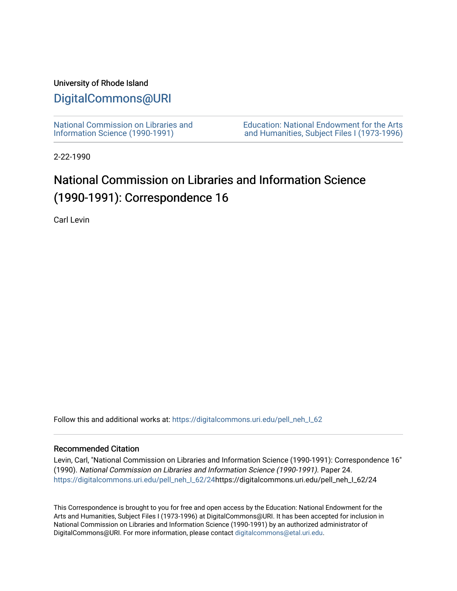## University of Rhode Island

## [DigitalCommons@URI](https://digitalcommons.uri.edu/)

[National Commission on Libraries and](https://digitalcommons.uri.edu/pell_neh_I_62) [Information Science \(1990-1991\)](https://digitalcommons.uri.edu/pell_neh_I_62) 

[Education: National Endowment for the Arts](https://digitalcommons.uri.edu/pell_neh_I)  [and Humanities, Subject Files I \(1973-1996\)](https://digitalcommons.uri.edu/pell_neh_I) 

2-22-1990

## National Commission on Libraries and Information Science (1990-1991): Correspondence 16

Carl Levin

Follow this and additional works at: https://digitalcommons.uri.edu/pell\_neh\_I\_62

## Recommended Citation

Levin, Carl, "National Commission on Libraries and Information Science (1990-1991): Correspondence 16" (1990). National Commission on Libraries and Information Science (1990-1991). Paper 24. [https://digitalcommons.uri.edu/pell\\_neh\\_I\\_62/24h](https://digitalcommons.uri.edu/pell_neh_I_62/24?utm_source=digitalcommons.uri.edu%2Fpell_neh_I_62%2F24&utm_medium=PDF&utm_campaign=PDFCoverPages)ttps://digitalcommons.uri.edu/pell\_neh\_I\_62/24

This Correspondence is brought to you for free and open access by the Education: National Endowment for the Arts and Humanities, Subject Files I (1973-1996) at DigitalCommons@URI. It has been accepted for inclusion in National Commission on Libraries and Information Science (1990-1991) by an authorized administrator of DigitalCommons@URI. For more information, please contact [digitalcommons@etal.uri.edu.](mailto:digitalcommons@etal.uri.edu)